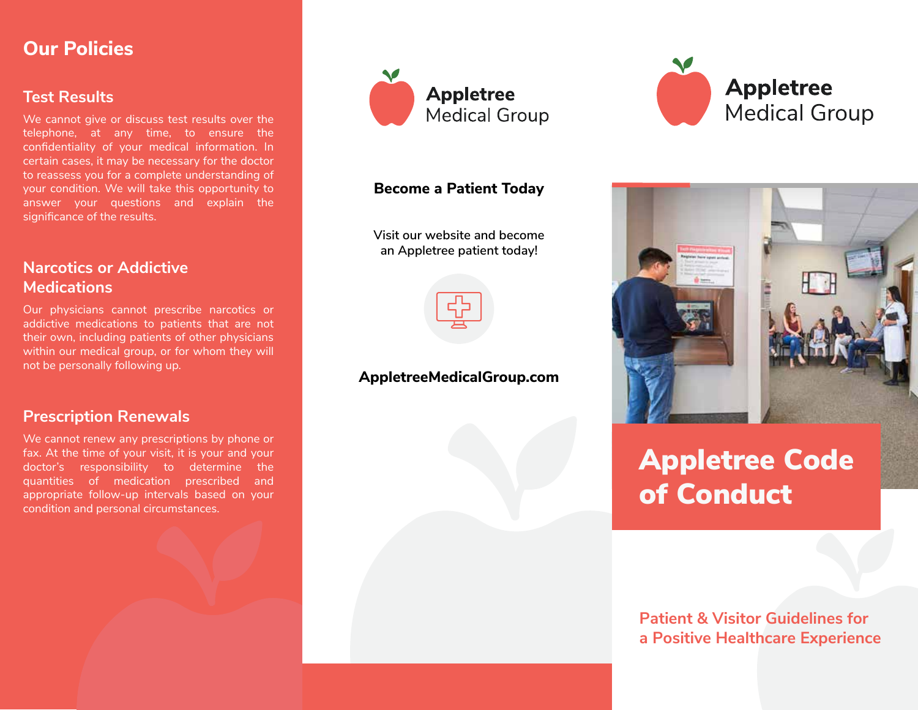### **Our Policies**

#### **Test Results**

We cannot give or discuss test results over the telephone, at any time, to ensure the confidentiality of your medical information. In certain cases, it may be necessary for the doctor to reassess you for a complete understanding of your condition. We will take this opportunity to answer your questions and explain the significance of the results.

### **Narcotics or Addictive Medications**

Our physicians cannot prescribe narcotics or addictive medications to patients that are not their own, including patients of other physicians within our medical group, or for whom they will not be personally following up.

#### **Prescription Renewals**

We cannot renew any prescriptions by phone or fax. At the time of your visit, it is your and your doctor's responsibility to determine the quantities of medication prescribed and appropriate follow-up intervals based on your condition and personal circumstances.



#### **Become a Patient Today**

**Visit our website and become an Appletree patient today!**



#### **AppletreeMedicalGroup.com**





# Appletree Code of Conduct

### **Patient & Visitor Guidelines for a Positive Healthcare Experience**